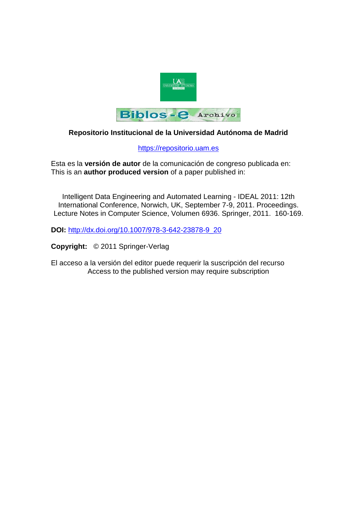

## **Repositorio Institucional de la Universidad Autónoma de Madrid**

## [https://repositorio.uam.es](https://repositorio.uam.es/)

Esta es la **versión de autor** de la comunicación de congreso publicada en: This is an **author produced version** of a paper published in:

Intelligent Data Engineering and Automated Learning - IDEAL 2011: 12th International Conference, Norwich, UK, September 7-9, 2011. Proceedings. Lecture Notes in Computer Science, Volumen 6936. Springer, 2011. 160-169.

**DOI:** [http://dx.doi.org/10.1007/978-3-642-23878-9\\_20](http://dx.doi.org/10.1007/978-3-642-23878-9_20)

**Copyright:** © 2011 Springer-Verlag

El acceso a la versión del editor puede requerir la suscripción del recurso Access to the published version may require subscription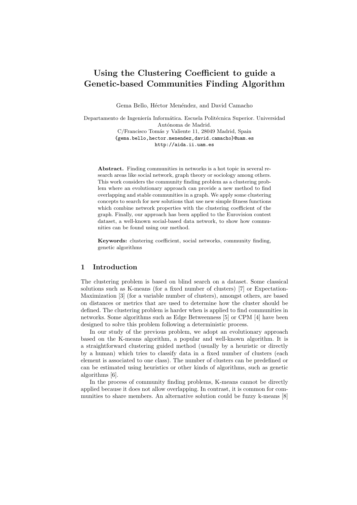# Using the Clustering Coefficient to guide a Genetic-based Communities Finding Algorithm

Gema Bello, Héctor Menéndez, and David Camacho

Departamento de Ingeniería Informática. Escuela Politécnica Superior. Universidad Autónoma de Madrid. C/Francisco Tomás y Valiente 11, 28049 Madrid, Spain {gema.bello,hector.menendez,david.camacho}@uam.es

http://aida.ii.uam.es

Abstract. Finding communities in networks is a hot topic in several research areas like social network, graph theory or sociology among others. This work considers the community finding problem as a clustering problem where an evolutionary approach can provide a new method to find overlapping and stable communities in a graph. We apply some clustering concepts to search for new solutions that use new simple fitness functions which combine network properties with the clustering coefficient of the graph. Finally, our approach has been applied to the Eurovision contest dataset, a well-known social-based data network, to show how communities can be found using our method.

Keywords: clustering coefficient, social networks, community finding, genetic algorithms

## 1 Introduction

The clustering problem is based on blind search on a dataset. Some classical solutions such as K-means (for a fixed number of clusters) [7] or Expectation-Maximization [3] (for a variable number of clusters), amongst others, are based on distances or metrics that are used to determine how the cluster should be defined. The clustering problem is harder when is applied to find communities in networks. Some algorithms such as Edge Betweenness [5] or CPM [4] have been designed to solve this problem following a deterministic process.

In our study of the previous problem, we adopt an evolutionary approach based on the K-means algorithm, a popular and well-known algorithm. It is a straightforward clustering guided method (usually by a heuristic or directly by a human) which tries to classify data in a fixed number of clusters (each element is associated to one class). The number of clusters can be predefined or can be estimated using heuristics or other kinds of algorithms, such as genetic algorithms [6].

In the process of community finding problems, K-means cannot be directly applied because it does not allow overlapping. In contrast, it is common for communities to share members. An alternative solution could be fuzzy k-means [8]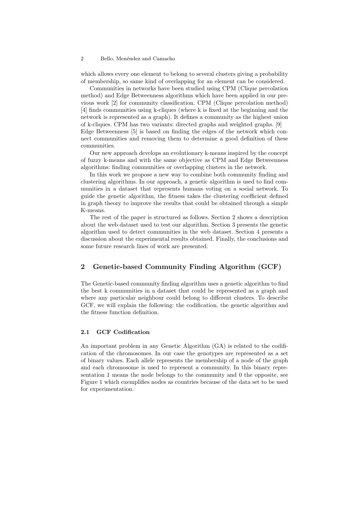which allows every one element to belong to several clusters giving a probability of membership, so same kind of overlapping for an element can be considered.

Communities in networks have been studied using CPM (Clique percolation method) and Edge Betweenness algorithms which have been applied in our previous work [2] for community classification. CPM (Clique percolation method) [4] finds communities using k-cliques (where k is fixed at the beginning and the network is represented as a graph). It defines a community as the highest union of k-cliques. CPM has two variants: directed graphs and weighted graphs. [9] Edge Betweenness [5] is based on finding the edges of the network which connect communities and removing them to determine a good definition of these communities.

Our new approach develops an evolutionary k-means inspired by the concept of fuzzy k-means and with the same objective as CPM and Edge Betweenness algorithms: finding communities or overlapping clusters in the network.

In this work we propose a new way to combine both community finding and clustering algorithms. In our approach, a genetic algorithm is used to find communities in a dataset that represents humans voting on a social network. To guide the genetic algorithm, the fitness takes the clustering coefficient defined in graph theory to improve the results that could be obtained through a simple K-means.

The rest of the paper is structured as follows. Section 2 shows a description about the web dataset used to test our algorithm. Section 3 presents the genetic algorithm used to detect communities in the web dataset. Section 4 presents a discussion about the experimental results obtained. Finally, the conclusions and some future research lines of work are presented.

## 2 Genetic-based Community Finding Algorithm (GCF)

The Genetic-based community finding algorithm uses a genetic algorithm to find the best k communities in a dataset that could be represented as a graph and where any particular neighbour could belong to different clusters. To describe GCF, we will explain the following: the codification, the genetic algorithm and the fitness function definition.

### 2.1 GCF Codification

An important problem in any Genetic Algorithm (GA) is related to the codification of the chromosomes. In our case the genotypes are represented as a set of binary values. Each allele represents the membership of a node of the graph and each chromosome is used to represent a community. In this binary representation 1 means the node belongs to the community and 0 the opposite, see Figure 1 which exemplifies nodes as countries because of the data set to be used for experimentation.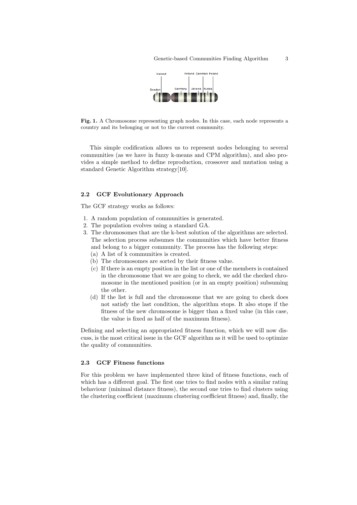

Fig. 1. A Chromosome representing graph nodes. In this case, each node represents a country and its belonging or not to the current community.

This simple codification allows us to represent nodes belonging to several communities (as we have in fuzzy k-means and CPM algorithm), and also provides a simple method to define reproduction, crossover and mutation using a standard Genetic Algorithm strategy[10].

#### 2.2 GCF Evolutionary Approach

The GCF strategy works as follows:

- 1. A random population of communities is generated.
- 2. The population evolves using a standard GA.
- 3. The chromosomes that are the k-best solution of the algorithms are selected. The selection process subsumes the communities which have better fitness and belong to a bigger community. The process has the following steps:
	- (a) A list of k communities is created.
	- (b) The chromosomes are sorted by their fitness value.
	- (c) If there is an empty position in the list or one of the members is contained in the chromosome that we are going to check, we add the checked chromosome in the mentioned position (or in an empty position) subsuming the other.
	- (d) If the list is full and the chromosome that we are going to check does not satisfy the last condition, the algorithm stops. It also stops if the fitness of the new chromosome is bigger than a fixed value (in this case, the value is fixed as half of the maximum fitness).

Defining and selecting an appropriated fitness function, which we will now discuss, is the most critical issue in the GCF algorithm as it will be used to optimize the quality of communities.

### 2.3 GCF Fitness functions

For this problem we have implemented three kind of fitness functions, each of which has a different goal. The first one tries to find nodes with a similar rating behaviour (minimal distance fitness), the second one tries to find clusters using the clustering coefficient (maximum clustering coefficient fitness) and, finally, the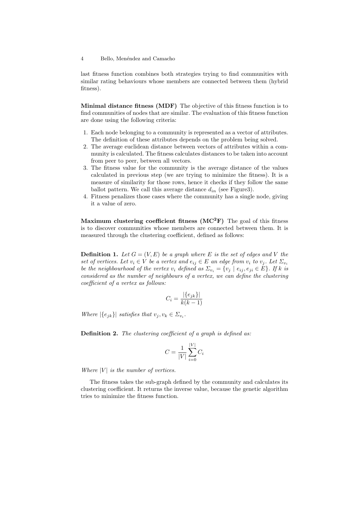last fitness function combines both strategies trying to find communities with similar rating behaviours whose members are connected between them (hybrid fitness).

Minimal distance fitness (MDF) The objective of this fitness function is to find communities of nodes that are similar. The evaluation of this fitness function are done using the following criteria:

- 1. Each node belonging to a community is represented as a vector of attributes. The definition of these attributes depends on the problem being solved.
- 2. The average euclidean distance between vectors of attributes within a community is calculated. The fitness calculates distances to be taken into account from peer to peer, between all vectors.
- 3. The fitness value for the community is the average distance of the values calculated in previous step (we are trying to minimize the fitness). It is a measure of similarity for those rows, hence it checks if they follow the same ballot pattern. We call this average distance  $d_{in}$  (see Figure3).
- 4. Fitness penalizes those cases where the community has a single node, giving it a value of zero.

Maximum clustering coefficient fitness  $(MC^2F)$  The goal of this fitness is to discover communities whose members are connected between them. It is measured through the clustering coefficient, defined as follows:

**Definition 1.** Let  $G = (V, E)$  be a graph where E is the set of edges and V the set of vertices. Let  $v_i \in V$  be a vertex and  $e_{ij} \in E$  an edge from  $v_i$  to  $v_j$ . Let  $\Sigma_{v_i}$ be the neighbourhood of the vertex  $v_i$  defined as  $\Sigma_{v_i} = \{v_j \mid e_{ij}, e_{ji} \in E\}$ . If k is considered as the number of neighbours of a vertex, we can define the clustering coefficient of a vertex as follows:

$$
C_i = \frac{|\{e_{jk}\}|}{k(k-1)}
$$

Where  $|\{e_{jk}\}|$  satisfies that  $v_j, v_k \in \Sigma_{v_i}$ .

Definition 2. The clustering coefficient of a graph is defined as:

$$
C = \frac{1}{|V|} \sum_{i=0}^{|V|} C_i
$$

Where  $|V|$  is the number of vertices.

The fitness takes the sub-graph defined by the community and calculates its clustering coefficient. It returns the inverse value, because the genetic algorithm tries to minimize the fitness function.

<sup>4</sup> Bello, Menéndez and Camacho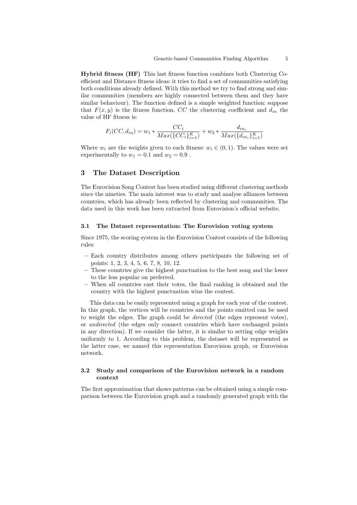Hybrid fitness (HF) This last fitness function combines both Clustering Coefficient and Distance fitness ideas: it tries to find a set of communities satisfying both conditions already defined. With this method we try to find strong and similar communities (members are highly connected between them and they have similar behaviour). The function defined is a simple weighted function: suppose that  $F(x, y)$  is the fitness function, CC the clustering coefficient and  $d_{in}$  the value of HF fitness is:

$$
F_i(CC, d_{in}) = w_1 * \frac{CC_i}{Max(\{CC_i\}_{i=1}^K)} + w_2 * \frac{d_{in_i}}{Max(\{d_{in_i}\}_{i=1}^K)}
$$

Where  $w_i$  are the weights given to each fitness:  $w_i \in (0,1)$ . The values were set experimentally to  $w_1 = 0.1$  and  $w_2 = 0.9$ .

## 3 The Dataset Description

The Eurovision Song Contest has been studied using different clustering methods since the nineties. The main interest was to study and analyse alliances between countries, which has already been reflected by clustering and communities. The data used in this work has been extracted from Eurovision's official website.

#### 3.1 The Dataset representation: The Eurovision voting system

Since 1975, the scoring system in the Eurovision Contest consists of the following rules:

- Each country distributes among others participants the following set of points: 1, 2, 3, 4, 5, 6, 7, 8, 10, 12.
- These countries give the highest punctuation to the best song and the lower to the less popular on preferred.
- When all countries cast their votes, the final ranking is obtained and the country with the highest punctuation wins the contest.

This data can be easily represented using a graph for each year of the contest. In this graph, the vertices will be countries and the points emitted can be used to weight the edges. The graph could be directed (the edges represent votes), or undirected (the edges only connect countries which have exchanged points in any direction). If we consider the latter, it is similar to setting edge weights uniformly to 1. According to this problem, the dataset will be represented as the latter case, we named this representation Eurovision graph, or Eurovision network.

#### 3.2 Study and comparison of the Eurovision network in a random context

The first approximation that shows patterns can be obtained using a simple comparison between the Eurovision graph and a randomly generated graph with the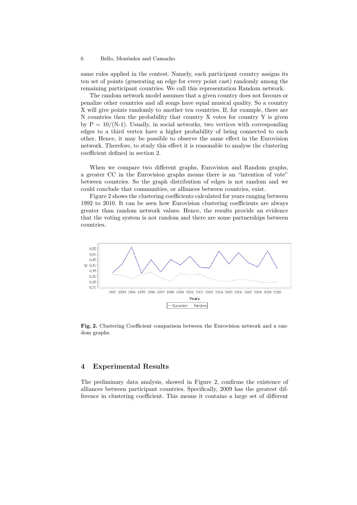same rules applied in the contest. Namely, each participant country assigns its ten set of points (generating an edge for every point cast) randomly among the remaining participant countries. We call this representation Random network.

The random network model assumes that a given country does not favours or penalize other countries and all songs have equal musical quality. So a country X will give points randomly to another ten countries. If, for example, there are N countries then the probability that country  $X$  votes for country  $Y$  is given by  $P = 10/(N-1)$ . Usually, in social networks, two vertices with corresponding edges to a third vertex have a higher probability of being connected to each other. Hence, it may be possible to observe the same effect in the Eurovision network. Therefore, to study this effect it is reasonable to analyse the clustering coefficient defined in section 2.

When we compare two different graphs, Eurovision and Random graphs, a greater CC in the Eurovision graphs means there is an "intention of vote" between countries. So the graph distribution of edges is not random and we could conclude that communities, or alliances between countries, exist.

Figure 2 shows the clustering coefficients calculated for years ranging between 1992 to 2010. It can be seen how Eurovision clustering coefficients are always greater than random network values. Hence, the results provide an evidence that the voting system is not random and there are some partnerships between countries.



Fig. 2. Clustering Coefficient comparison between the Eurovision network and a random graphs.

## 4 Experimental Results

The preliminary data analysis, showed in Figure 2, confirms the existence of alliances between participant countries. Specifically, 2009 has the greatest difference in clustering coefficient. This means it contains a large set of different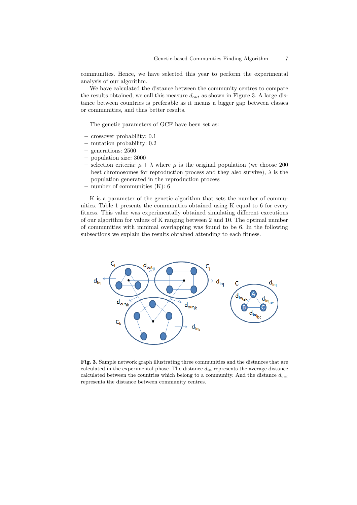communities. Hence, we have selected this year to perform the experimental analysis of our algorithm.

We have calculated the distance between the community centres to compare the results obtained; we call this measure  $d_{out}$  as shown in Figure 3. A large distance between countries is preferable as it means a bigger gap between classes or communities, and thus better results.

The genetic parameters of GCF have been set as:

- crossover probability: 0.1
- mutation probability: 0.2
- generations: 2500
- population size: 3000
- selection criteria:  $\mu + \lambda$  where  $\mu$  is the original population (we choose 200 best chromosomes for reproduction process and they also survive),  $\lambda$  is the population generated in the reproduction process
- number of communities (K): 6

K is a parameter of the genetic algorithm that sets the number of communities. Table 1 presents the communities obtained using K equal to 6 for every fitness. This value was experimentally obtained simulating different executions of our algorithm for values of K ranging between 2 and 10. The optimal number of communities with minimal overlapping was found to be 6. In the following subsections we explain the results obtained attending to each fitness.



Fig. 3. Sample network graph illustrating three communities and the distances that are calculated in the experimental phase. The distance  $d_{in}$  represents the average distance calculated between the countries which belong to a community. And the distance  $d_{out}$ represents the distance between community centres.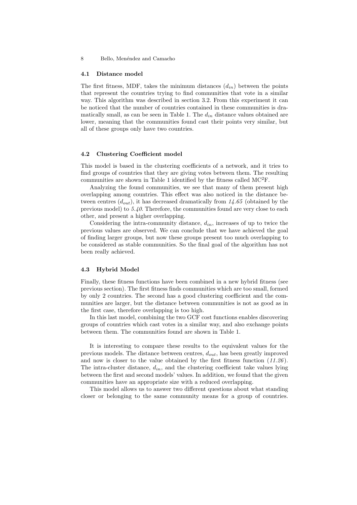#### 4.1 Distance model

The first fitness, MDF, takes the minimum distances  $(d_{in})$  between the points that represent the countries trying to find communities that vote in a similar way. This algorithm was described in section 3.2. From this experiment it can be noticed that the number of countries contained in these communities is dramatically small, as can be seen in Table 1. The  $d_{in}$  distance values obtained are lower, meaning that the communities found cast their points very similar, but all of these groups only have two countries.

#### 4.2 Clustering Coefficient model

This model is based in the clustering coefficients of a network, and it tries to find groups of countries that they are giving votes between them. The resulting communities are shown in Table 1 identified by the fitness called  $MC^2F$ .

Analyzing the found communities, we see that many of them present high overlapping among countries. This effect was also noticed in the distance between centres  $(d_{out})$ , it has decreased dramatically from  $14.65$  (obtained by the previous model) to 5.40. Therefore, the communities found are very close to each other, and present a higher overlapping.

Considering the intra-community distance,  $d_{in}$ , increases of up to twice the previous values are observed. We can conclude that we have achieved the goal of finding larger groups, but now these groups present too much overlapping to be considered as stable communities. So the final goal of the algorithm has not been really achieved.

#### 4.3 Hybrid Model

Finally, these fitness functions have been combined in a new hybrid fitness (see previous section). The first fitness finds communities which are too small, formed by only 2 countries. The second has a good clustering coefficient and the communities are larger, but the distance between communities is not as good as in the first case, therefore overlapping is too high.

In this last model, combining the two GCF cost functions enables discovering groups of countries which cast votes in a similar way, and also exchange points between them. The communities found are shown in Table 1.

It is interesting to compare these results to the equivalent values for the previous models. The distance between centres,  $d_{out}$ , has been greatly improved and now is closer to the value obtained by the first fitness function  $(11.26)$ . The intra-cluster distance,  $d_{in}$ , and the clustering coefficient take values lying between the first and second models' values. In addition, we found that the given communities have an appropriate size with a reduced overlapping.

This model allows us to answer two different questions about what standing closer or belonging to the same community means for a group of countries.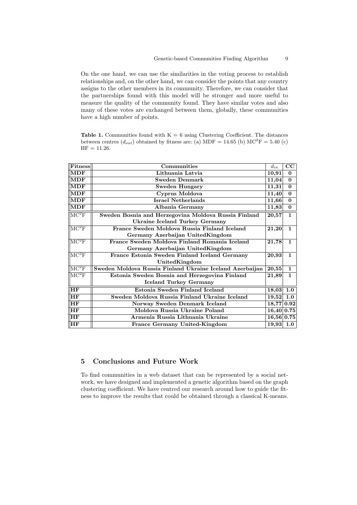On the one hand, we can use the similarities in the voting process to establish relationships and, on the other hand, we can consider the points that any country assigns to the other members in its community. Therefore, we can consider that the partnerships found with this model will be stronger and more useful to measure the quality of the community found. They have similar votes and also many of these votes are exchanged between them, globally, these communities have a high number of points.

**Table 1.** Communities found with  $K = 6$  using Clustering Coefficient. The distances between centres  $(d_{out})$  obtained by fitness are: (a) MDF = 14.65 (b) MC<sup>2</sup>F = 5.40 (c)  $HF = 11.26.$ 

| <b>Fitness</b>                       | Communities                                              | $d_{in}$                           | $\rm CC$     |
|--------------------------------------|----------------------------------------------------------|------------------------------------|--------------|
| <b>MDF</b>                           | Lithuania Latvia                                         | 10,91                              | $\bf{0}$     |
| $\bf MDF$                            | <b>Sweden Denmark</b>                                    | 11,04                              | $\mathbf{0}$ |
| <b>MDF</b>                           | <b>Sweden Hungary</b>                                    | 11,31                              | $\mathbf{0}$ |
| $\bf{MDF}$                           | Cyprus Moldova                                           | 11,40                              | $\mathbf{0}$ |
| <b>MDF</b>                           | <b>Israel Netherlands</b>                                | 11,66                              | $\mathbf{0}$ |
| $\bf MDF$                            | Albania Germany                                          | 11,83                              | $\bf{0}$     |
| $MC^2F$                              | Sweden Bosnia and Herzegovina Moldova Russia Finland     | 20,57                              | $\mathbf{1}$ |
|                                      | <b>Ukraine Iceland Turkey Germany</b>                    |                                    |              |
| $MC^2F$                              | France Sweden Moldova Russia Finland Iceland             | 21,20                              | $\mathbf{1}$ |
|                                      | Germany Azerbaijan UnitedKingdom                         |                                    |              |
| $\rm MC^2F$                          | France Sweden Moldova Finland Romania Iceland            | 21,78                              | $\mathbf{1}$ |
|                                      | Germany Azerbaijan UnitedKingdom                         |                                    |              |
| $\rm MC^2F$                          | France Estonia Sweden Finland Iceland Germany            | 20,93                              | $\mathbf{1}$ |
|                                      | UnitedKingdom                                            |                                    |              |
| $\overline{\mathrm{MC}^2\mathrm{F}}$ | Sweden Moldova Russia Finland Ukraine Iceland Azerbaijan | 20,55                              | $\mathbf{1}$ |
| $\rm MC^2F$                          | Estonia Sweden Bosnia and Herzegovina Finland            | 21,89                              | $\mathbf{1}$ |
|                                      | <b>Iceland Turkey Germany</b>                            |                                    |              |
| <b>HF</b>                            | Estonia Sweden Finland Iceland                           | 18,03                              | 1.0          |
| <b>HF</b>                            | Sweden Moldova Russia Finland Ukraine Iceland            | 19,52                              | 1.0          |
| HF                                   | Norway Sweden Denmark Iceland                            | $18,77\vert 0.92$                  |              |
| <b>HF</b>                            | Moldova Russia Ukraine Poland                            | $16,40\overline{\vert\,0.75\vert}$ |              |
| <b>HF</b>                            | Armenia Russia Lithuania Ukraine                         | 16,56 0.75                         |              |
| HF                                   | France Germany United-Kingdom                            | 19,93  1.0                         |              |

## 5 Conclusions and Future Work

To find communities in a web dataset that can be represented by a social network, we have designed and implemented a genetic algorithm based on the graph clustering coefficient. We have centred our research around how to guide the fitness to improve the results that could be obtained through a classical K-means.